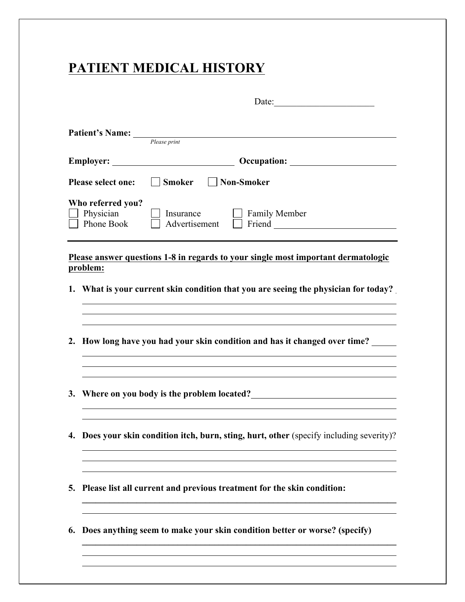## **PATIENT MEDICAL HISTORY**

|                           |                                              | Date:                                                                                    |  |  |
|---------------------------|----------------------------------------------|------------------------------------------------------------------------------------------|--|--|
|                           | <b>Patient's Name:</b>                       | Please print                                                                             |  |  |
| Employer:                 |                                              | <b>Occupation:</b><br><u> 1990 - Johann Barbara, martin d</u>                            |  |  |
| <b>Please select one:</b> |                                              | Smoker<br>    Non-Smoker                                                                 |  |  |
|                           | Who referred you?<br>Physician<br>Phone Book | <b>Family Member</b><br>Insurance<br>Advertisement<br>Friend                             |  |  |
|                           | problem:                                     | Please answer questions 1-8 in regards to your single most important dermatologic        |  |  |
|                           |                                              | 1. What is your current skin condition that you are seeing the physician for today?      |  |  |
|                           |                                              | 2. How long have you had your skin condition and has it changed over time?               |  |  |
|                           |                                              | 3. Where on you body is the problem located?                                             |  |  |
|                           |                                              | 4. Does your skin condition itch, burn, sting, hurt, other (specify including severity)? |  |  |
| 5.                        |                                              | Please list all current and previous treatment for the skin condition:                   |  |  |
|                           |                                              | 6. Does anything seem to make your skin condition better or worse? (specify)             |  |  |